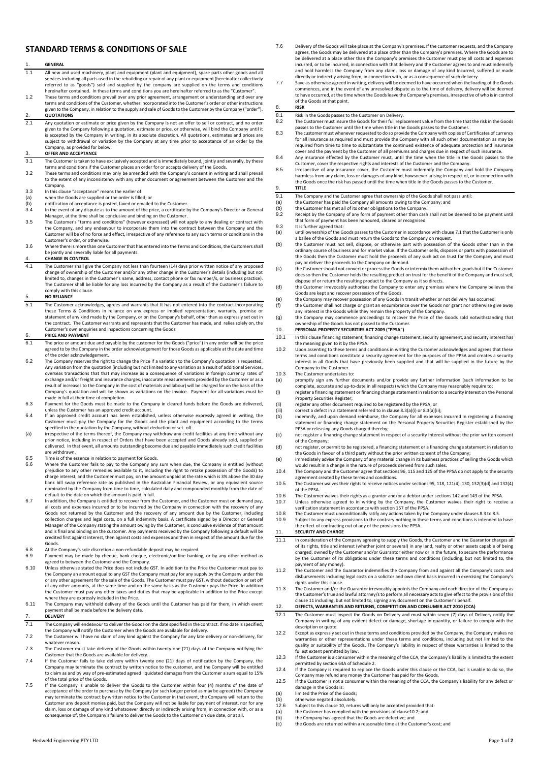# **STANDARD TERMS & CONDITIONS OF SALE**

## 1. **GENERAL**

- 1.1 All new and used machinery, plant and equipment (plant and equipment), spare parts other goods and all services including all parts used in the rebuilding or repair of any plant or equipment (hereinafter collectively referred to as "goods") sold and supplied by the company are supplied on the terms and conditions hereinafter contained. In these terms and conditions you are hereinafter referred to as the "Customer".
- 1.2 These terms and conditions prevail over any prior agreement, arrangement or understanding and over any terms and conditions of the Customer, whether incorporated into the Customer's order or other instructions given to the Company, in relation to the supply and sale of Goods to the Customer by the Company ("order''). 2. **QUOTATIONS**
- 2.1 Any quotation or estimate or price given by the Company Is not an offer to sell or contract, and no order given to the Company following a quotation, estimate or price, or otherwise, will bind the Company until it is accepted by the Company in writing, in its absolute discretion. All quotations, estimates and prices are subject to withdrawal or variation by the Company at any time prior to acceptance of an order by the pect to minimum of various

### 3. **OFFER AND ACCEPTANCE**

- 3.1 The Customer is taken to have exclusively accepted and is immediately bound, jointly and severally, by these terms and conditions if the Customer places an order for or accepts delivery of the Goods.
- 3.2 These terms and conditions may only be amended with the Company's consent in writing and shall prevail to the extent of any inconsistency with any other document or agreement between the Customer and the Company.
- 3.3 In this clause "acceptance" means the earlier of:
- 
- (a) when the Goods are supplied or the order is filled; or (b) notification of acceptance is posted, faxed or emailed to the Customer.
- 3.4 In the event of any dispute as to the amount of the price, a certificate by the Company's Director or General Manager, at the time shall be conclusive and binding on the Customer.
- 3.5 The Customer's "terms and conditions" (however expressed) will not apply to any dealing or contract with the Company, and any endeavour to incorporate them into the contract between the Company and the Customer will be of no force and effect, irrespective of any reference to any such terms or conditions in the
- Customer's order, or otherwise. 3.6 Where there is more than one Customer that has entered into the Terms and Conditions, the Customers shall be jointly and severally liable for all payments.

# 4. **CHANGE IN CONTROL**

4.1 The Customer shall give the Company not less than fourteen (14) days prior written notice of any proposed change of ownership of the Customer and/or any other change in the Customer's details (including but not limited to, changes in the Customer's name, address, contact phone or fax number/s, or business practice). The Customer shall be liable for any loss incurred by the Company as a result of the Customer's failure to comply with this clause.

5. **NO RELIANCE**<br>5.1 The Custome The Customer acknowledges, agrees and warrants that It has not entered into the contract incorporating these Terms & Conditions in reliance on any express or implied representation, warranty, promise or<br>statement of any kind made by the Company, or on the Company's behalf, other than as expressly set out in<br>the contract. Th Customer's own enquiries and inspections concerning the Goods

## 6. **PRICE AND PAYMENT**

- 6.1 The price or amount due and payable by the customer for the Goods ("price") in any order will be the price agreed to by the Company in the order acknowledgement for those Goods as applicable at the date and time of the order acknowledgement.
- 6.2 The Company reserves the right to change the Price if a variation to the Company's quotation is requested. Any variation from the quotation (including but not limited to any variation as a result of additional Services,<br>overseas transactions that that may increase as a consequence of variations in foreign currency rates of exchange and/or freight and insurance charges, inaccurate measurements provided by the Customer or as a result of increases to the Company in the cost of materials and labour) will be charged for on the basis of the Company's quotation and will be shown as variations on the invoice. Payment for all variations must be made in full at their time of completion. 6.3 Payment for the Goods must be made to the Company in cleared funds before the Goods are delivered,
- 
- unless the Customer has an approved credit account.<br>6.4 If an approved credit account has been established, unless otherwise expressly agreed in writing, the<br>Customer must pay the Company for the Goods and the plant and eq specified in the quotation by the Company, without deduction or set- off.
- (a) irrespective of the terms thereof, the Company may withdraw any credit facilities at any time without any prior notice, including in respect of Orders that have been accepted and Goods already sold, supplied or delivered. In that event, all amounts outstanding become due and payable immediately such credit facilities are withdrawn.
- 6.5 Time is of the essence in relation to payment for Goods.<br>6.6 Where the Customer fails to nay to the Company any
- 6.6 Where the Customer fails to pay to the Company any sum when due, the Company is entitled (without prejudice to any other remedies available to it, including the right to retake possession of the Goods) to charge interest, and the Customer must pay, on the amount unpaid at the rate which is 3% above the 30 day bank bill swap reference rate as published in the Australian Financial Review, or any equivalent source nominated by the Company from time to time, calculated daily and compounded monthly from the date of default to the date on which the amount is paid in full.
- 6.7 In addition, the Company is entitled to recover from the Customer, and the Customer must on demand pay, all costs and expenses incurred or to be incurred by the Company in connection with the recovery of any Goods not returned by the Customer and the recovery of any amount due by the Customer, including collection charges and legal costs, on a full indemnity basis. A certificate signed by a Director or General Manager of the Company stating the amount owing by the Customer, is conclusive evidence of that amount and is final and binding on the customer. Any payments received by the Company following a default will be credited first against interest, then against costs and expenses and then in respect of the amount due for the Goods.
- 6.8 At the Company's sole discretion a non-refundable deposit may be required.<br>6.9 Devement may be made by choque, bank choque, electronic/on-line bankin
- 6.9 Payment may be made by cheque, bank cheque, electronic/on-line banking, or by any other method as agreed to between the Customer and the Company.
- Figure 1.10 Unless otherwise stated the Price does not include GST. In addition to the Price the Customer must pay to the Company an amount equal to any GST the Company must pay for any supply by the Company under this or any other agreement for the sale of the Goods. The Customer must pay GST, without deduction or set off of any other amounts, at the same time and on the same basis as the Customer pays the Price. In addition the Customer must pay any other taxes and duties that may be applicable in addition to the Price except where they are expressly included in the Price.
- 6.11 The Company may withhold delivery of the Goods until the Customer has paid for them, in which event payment shall be made before the delivery date.

### 7. **DELIVERY**

- 7.1 The Company will endeavour to deliver the Goods on the date specified in the contract. If no date is specified, the Company will notify the Customer when the Goods are available for delivery.
- 7.2 The Customer will have no claim of any kind against the Company for any late delivery or non-delivery, for whatever reason.
- 7.3 The Customer must take delivery of the Goods within twenty one (21) days of the Company notifying the
- Customer that the Goods are available for delivery. 7.4 If the Customer fails to take delivery within twenty one (21) days of notification by the Company, the Company may terminate the contract by written notice to the customer, and the Company will be entitled to claim as and by way of pre-estimated agreed liquidated damages from the Customer a sum equal to 15% of the total price of the Goods.
- 7.5 If the Company is unable to deliver the Goods to the Customer within four (4) months of the date of acceptance of the order to purchase by the Company (or such longer period as may be agreed) the Company may terminate the contract by written notice to the Customer in that event, the Company will return to the Customer any deposit monies paid, but the Company will not be liable for payment of interest, nor for any claim, loss or damage of any kind whatsoever directly or indirectly arising from, in connection with, or as a consequence of, the Company's failure to deliver the Goods to the Customer on due date, or at all.
- 7.6 Delivery of the Goods will take place at the Company's premises. If the customer requests, and the Company agrees, the Goods may be delivered at a place other than the Company's premises. Where the Goods are to be delivered at a place other than the Company's premises the Customer must pay all costs and expenses incurred, or to be incurred, in connection with that delivery and the Customer agrees to and must indemnify and hold harmless the Company from any claim, loss or damage of any kind Incurred, suffered or made directly or indirectly arising from, in connection with, or as a consequence of such delivery.
- 7.7 Save as otherwise agreed in writing, delivery will be deemed to have occurred when the loading of the Goods commences, and in the event of any unresolved dispute as to the time of delivery, delivery will be deemed to have occurred, at the time when the Goods leave the Company's premises, irrespective of who is in control of the Goods at that point.

# 8. **RISK**

- 8.1 Risk in the Goods passes to the Customer on Delivery.<br>8.2 The Customer must insure the Goods for their full replace
- 8.2 The Customer must insure the Goods for their full replacement value from the time that the risk in the Goods passes to the Customer until the time when title in the Goods passes to the Customer.
- 8.3 The customer must whenever requested to do so provide the Company with copies of Certificates of currency for all insurance as required and must provide the Company with all such other documentation as may be required from time to time to substantiate the continued existence of adequate protection and insurance cover and the payment by the Customer of all premiums and charges due in respect of such insurance. 8.4 Any insurance effected by the Customer must, until the time when the title in the Goods passes to the
- Customer, cover the respective rights and interests of the Customer and the Company.
- 8.5 Irrespective of any insurance cover, the Customer must indemnify the Company and hold the Company harmless from any claim, loss or damages of any kind, howsoever arising in respect of, or in connection with the Goods once the risk has passed until the time when title in the Goods passes to the Customer. 9. **TITLE**
	-
- 9.1 The Company and the Customer agree that ownership of the Goods shall not pass until  $\left( a \right)$  the Customer has paid the Company all amounts owing to the Company; and
- (a) the Customer has paid the Company all amounts owing to the Company; and (b) the Customer has met all of its other obligations to the Company.
- 9.2 Receipt by the Company of any form of payment other than cash shall not be deemed to be payment until that form of payment has been honoured, cleared or recognised. 9.3 It is further agreed that:
- 
- (a) until ownership of the Goods passes to the Customer in accordance with clause 7.1 that the Customer is only a bailee of the Goods and must return the Goods to the Company on request.
- (b) the Customer must not sell, dispose, or otherwise part with possession of the Goods other than in the ordinary course of business and for market value. If the Customer sells, disposes or parts with possession of the Goods then the Customer must hold the proceeds of any such act on trust for the Company and must pay or deliver the proceeds to the Company on demand.
- (c) the Customer should not convert or process the Goods or intermix them with other goods but if the Customer does so then the Customer holds the resulting product on trust for the benefit of the Company and must sell,
- dispose of or return the resulting product to the Company as it so directs. (d) the Customer irrevocably authorises the Company to enter any premises where the Company believes the Goods are kept and recover possession of the Goods.
- (e) the Company may recover possession of any Goods in transit whether or not delivery has occurred. (f) the Customer shall not charge or grant an encumbrance over the Goods nor grant nor otherwise give away
- any interest in the Goods while they remain the property of the Company.<br>(g) the Company may commence proceedings to recover the Price of the Goods sold notwithstanding that<br>ownership of the Goods has not passed to the Cus

# 10. **PERSONAL PROPERTY SECURITIES ACT 2009 ("PPSA")**

- 10.1 In this clause financing statement, financing change statement, security agreement, and security interest has the meaning given to it by the PPSA.
- 10.2 Upon assenting to these terms and conditions in writing the Customer acknowledges and agrees that these<br>terms and conditions constitute a security agreement for the purposes of the PPSA and creates a security<br>interest Company to the Customer.
- 10.3 The Customer undertakes to:<br>(a) promptly sign any further of
- (a) promptly sign any further documents and/or provide any further information (such information to be complete, accurate and up-to-date in all respects) which the Company may reasonably require to; (i) register a financing statement or financing change statement in relation to a security interest on the Personal Property Securities Register;
- 
- 
- (ii) register any other document required to be registered by the PPSA; or (iii) correct a defect in a statement referred to in clause 8.3(a)(i) or 8.3(a)(b) indemnify, and upon demand reimburse, the Company for all expen (iii) correct a defect in a statement referred to in clause 8.3(a)(i) or 8.3(a)(ii);<br>(b) indemnify, and upon demand reimburse, the Company for all expenses incurred in registering a financing)<br>statement or financing change
- PPSA or releasing any Goods charged thereby; (c) not register a financing change statement in respect of a security interest without the prior written consent of the Company;
- (d) not register, or permit to be registered, a financing statement or a financing change statement in relation to the Goods in favour of a third party without the prior written consent of the Company;
- (e) immediately advise the Company of any material change in its business practices of selling the Goods which would result in a change in the nature of proceeds derived from such sales.
- 10.4 The Company and the Customer agree that sections 96, 115 and 125 of the PPSA do not apply to the security agreement created by these terms and conditions.
- 10.5 The Customer waives their rights to receive notices under sections 95, 118, 121(4), 130, 132(3)(d) and 132(4) of the PPSA.
- 10.6 The Customer waives their rights as a grantor and/or a debtor under sections 142 and 143 of the PPSA.<br>10.7 Unless otherwise agreed to in writing by the Company, the Customer waives their right to rece 10.7 Unless otherwise agreed to in writing by the Company, the Customer waives their right to receive a verification statement in accordance with section 157 of the PPSA.
- 
- 10.8 The Customer must unconditionally ratify any actions taken by the Company under clauses 8.3 to 8.5.<br>10.9 Subject to any express provisions to the contrary nothing in these terms and conditions is intended to 10.9 Subject to any express provisions to the contrary nothing in these terms and conditions is intended to have the effect of contracting out of any of the provisions the PPSA.

### <span id="page-0-0"></span>11. **SECURITY AND CHARGE**

- 11.1 In consideration of the Company agreeing to supply the Goods, the Customer and the Guarantor charges all of its rights, title and interest (whether joint or several) in any land, realty or other assets capable of being charged, owned by the Customer and/or Guarantor either now or in the future, to secure the performance by the Customer of its obligations under these terms and conditions (including, but not limited to, the payment of any money).
- 11.2 The Customer and the Guarantor indemnifies the Company from and against all the Company's costs and disbursements including legal costs on a solicitor and own client basis incurred in exercising the Company's rights under this clause.
- 11.3 The Customer and/or the Guarantor irrevocably appoints the Company and each director of the Company as the Customer's true and lawful attorney/s to perform all necessary acts to give effect to the provisions of this claus[e 11](#page-0-0) including, but not limited to, signing any document on the Customer's behalf. 12. **DEFECTS, WARRANTIES AND RETURNS, COMPETITION AND CONSUMER ACT 2010 (CCA)**

- <span id="page-0-1"></span>12.1 The Customer must inspect the Goods on Delivery and must within seven (7) days of Delivery notify the Company in writing of any evident defect or damage, shortage in quantity, or failure to comply with the description or quote.
- 12.2 Except as expressly set out in these terms and conditions provided by the Company, the Company makes no warranties or other representations under these terms and conditions, including but not limited to the quality or suitability of the Goods. The Company's liability in respect of these warranties is limited to the fullest extent permitted by law.
- 12.3 If the Customer is a consumer within the meaning of the CCA, the Company's liability is limited to the extent permitted by section 64A of Schedule 2.
- 12.4 If the Company is required to replace the Goods under this clause or the CCA, but is unable to do so, the Company may refund any money the Customer has paid for the Goods. 12.5 If the Customer is not a consumer within the meaning of the CCA, the Company's liability for any defect or
- damage in the Goods is:<br>
(a) limited the Price of the Goods;
- 
- (b) otherwise negated absolutely.<br>12.6 Subject to this clause 10, return
- 12.6 Subject to this clause 10, returns will only be accepted provided that:
- (a) the Customer has complied with the provisions of clause10.2; and<br>(b) the Company has agreed that the Goods are defective; and
- (b) the Company has agreed that the Goods are defective; and (c) the Goods are returned within a reasonable time at the Customer's cost; and